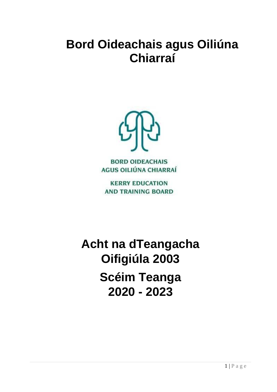# **Bord Oideachais agus Oiliúna Chiarraí**



**BORD OIDEACHAIS** AGUS OILIÚNA CHIARRAÍ

**KERRY EDUCATION AND TRAINING BOARD** 

**Acht na dTeangacha Oifigiúla 2003 Scéim Teanga 2020 - 2023**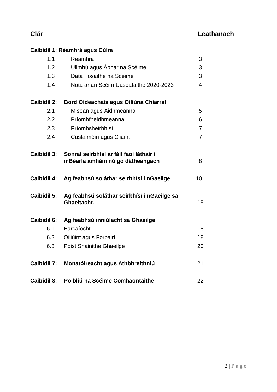# **Clár Leathanach**

# **Caibidil 1: Réamhrá agus Cúlra**

| 1.1                | Réamhrá                                                                     | 3               |
|--------------------|-----------------------------------------------------------------------------|-----------------|
| 1.2                | Ullmhú agus Ábhar na Scéime                                                 | 3               |
| 1.3                | Dáta Tosaithe na Scéime                                                     | 3               |
| 1.4                | Nóta ar an Scéim Uasdátaithe 2020-2023                                      | 4               |
| <b>Caibidil 2:</b> | Bord Oideachais agus Oiliúna Chiarraí                                       |                 |
| 2.1                | Misean agus Aidhmeanna                                                      | 5               |
| 2.2                | Príomhfheidhmeanna                                                          | 6               |
| 2.3                | Príomhsheirbhísí                                                            | $\overline{7}$  |
| 2.4                | Custaiméirí agus Cliaint                                                    | $\overline{7}$  |
| Caibidil 3:        | Sonraí seirbhísí ar fáil faoi láthair i<br>mBéarla amháin nó go dátheangach | 8               |
| <b>Caibidil 4:</b> | Ag feabhsú soláthar seirbhísí i nGaeilge                                    | 10 <sup>1</sup> |
| <b>Caibidil 5:</b> | Ag feabhsú soláthar seirbhísí i nGaeilge sa<br>Ghaeltacht.                  | 15              |
| Caibidil 6:        | Ag feabhsú inniúlacht sa Ghaeilge                                           |                 |
| 6.1                | Earcaíocht                                                                  | 18              |
| 6.2                | Oiliúint agus Forbairt                                                      | 18              |
| 6.3                | <b>Poist Shainithe Ghaeilge</b>                                             | 20              |
| <b>Caibidil 7:</b> | Monatóireacht agus Athbhreithniú                                            | 21              |
| <b>Caibidil 8:</b> | Poibliú na Scéime Comhaontaithe                                             | 22              |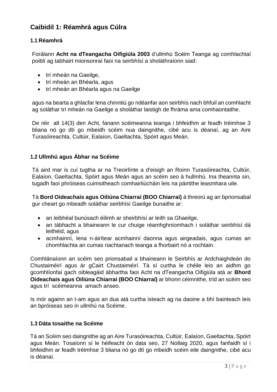## **Caibidil 1: Réamhrá agus Cúlra**

#### **1.1 Réamhrá**

Forálann **Acht na dTeangacha Oifigiúla 2003** d'ullmhú Scéim Teanga ag comhlachtaí poiblí ag tabhairt mionsonraí faoi na seirbhísí a sholáthraíonn siad:

- trí mheán na Gaeilge,
- trí mheán an Bhéarla, agus
- trí mheán an Bhéarla agus na Gaeilge

agus na bearta a ghlacfar lena chinntiú go ndéanfar aon seirbhís nach bhfuil an comhlacht ag soláthar trí mheán na Gaeilge a sholáthar laistigh de fhráma ama comhaontaithe.

De réir alt 14(3) den Acht, fanann scéimeanna teanga i bhfeidhm ar feadh tréimhse 3 bliana nó go dtí go mbeidh scéim nua daingnithe, cibé acu is déanaí, ag an Aire Turasóireachta, Cultúir, Ealaíon, Gaeltachta, Spóirt agus Meán.

#### **1.2 Ullmhú agus Ábhar na Scéime**

Tá aird mar is cuí tugtha ar na Treoirlínte a d'eisigh an Roinn Turasóireachta, Cultúir, Ealaíon, Gaeltachta, Spóirt agus Meán agus an scéim seo á hullmhú. Ina theannta sin, tugadh faoi phróiseas cuimsitheach comhairliúcháin leis na páirtithe leasmhara uile.

Tá **Bord Oideachais agus Oiliúna Chiarraí (BOO Chiarraí)** á threorú ag an bprionsabal gur cheart go mbeadh soláthar seirbhísí Gaeilge bunaithe ar:

- an leibhéal bunúsach éilimh ar sheirbhísí ar leith sa Ghaeilge,
- an tábhacht a bhaineann le cur chuige réamhghníomhach i soláthar seirbhísí dá leithéid, agus
- acmhainní, lena n-áirítear acmhainní daonna agus airgeadais, agus cumas an chomhlachta an cumas riachtanach teanga a fhorbairt nó a rochtain.

Comhlánaíonn an scéim seo prionsabail a bhaineann le Seirbhís ar Ardchaighdeán do Chustaiméirí agus ár gCairt Chustaiméirí. Tá sí curtha le chéile leis an aidhm go gcomhlíonfaí gach oibleagáid ábhartha faoi Acht na dTeangacha Oifigiúla atá ar **Bhord Oideachais agus Oiliúna Chiarraí (BOO Chiarraí)** ar bhonn céimnithe, tríd an scéim seo agus trí scéimeanna amach anseo.

Is mór againn an t-am agus an dua atá curtha isteach ag na daoine a bhí bainteach leis an bpróiseas seo in ullmhú na Scéime.

#### **1.3 Dáta tosaithe na Scéime**

Tá an Scéim seo daingnithe ag an Aire Turasóireachta, Cultúir, Ealaíon, Gaeltachta, Spóirt agus Meán. Tosaíonn sí le héifeacht ón data seo, 27 Nollaig 2020, agus fanfaidh sí i bhfeidhm ar feadh tréimhse 3 bliana nó go dtí go mbeidh scéim eile daingnithe, cibé acu is déanaí.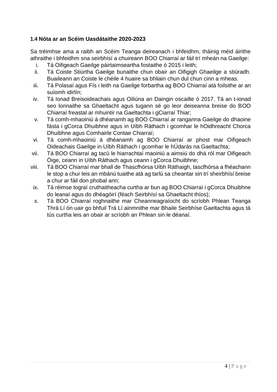#### **1.4 Nóta ar an Scéim Uasdátaithe 2020-2023**

Sa tréimhse ama a raibh an Scéim Teanga deireanach i bhfeidhm, tháinig méid áirithe athraithe i bhfeidhm sna seirbhísí a chuireann BOO Chiarraí ar fáil trí mheán na Gaeilge:

- i. Tá Oifigeach Gaeilge páirtaimseartha fostaithe ó 2015 i leith;
- ii. Tá Coiste Stiúrtha Gaeilge bunaithe chun obair an Oifigigh Ghaeilge a stiúradh. Buaileann an Coiste le chéile 4 huaire sa bhliain chun dul chun cinn a mheas.
- iii. Tá Polasaí agus Fís i leith na Gaeilge forbartha ag BOO Chiarraí atá foilsithe ar an suíomh idirlín;
- iv. Tá Ionad Breisoideachais agus Oiliúna an Daingin oscailte ó 2017. Tá an t-ionad seo lonnaithe sa Ghaeltacht agus tugann sé go leor deiseanna breise do BOO Chiarraí freastal ar mhuintir na Gaeltachta i gCiarraí Thiar;
- v. Tá comh-mhaoiniú á dhéanamh ag BOO Chiarraí ar ranganna Gaeilge do dhaoine fásta i gCorca Dhuibhne agus in Uíbh Ráthach i gcomhar le hOidhreacht Chorca Dhuibhne agus Comhairle Contae Chiarraí;
- vi. Tá comh-mhaoiniú á dhéanamh ag BOO Chiarraí ar phost mar Oifigeach Oideachais Gaeilge in Uíbh Ráthach i gcomhar le hÚdarás na Gaeltachta;
- vii. Tá BOO Chiarraí ag tacú le hiarrachtaí maoiniú a aimsiú do dhá ról mar Oifigeach Óige, ceann in Uíbh Ráthach agus ceann i gCorca Dhuibhne;
- viii. Tá BOO Chiarraí mar bhall de Thascfhórsa Uíbh Ráthaigh, tascfhórsa a fhéachann le stop a chur leis an mbánú tuaithe atá ag tarlú sa cheantar sin trí sheirbhísí breise a chur ar fáil don phobal ann;
- ix. Tá réimse tograí cruthaitheacha curtha ar bun ag BOO Chiarraí i gCorca Dhuibhne do leanaí agus do dhéagóirí (féach Seirbhísí sa Ghaeltacht thíos);
- x. Tá BOO Chiarraí roghnaithe mar Cheanneagraíocht do scríobh Phlean Teanga Thrá Lí ón uair go bhfuil Trá Lí ainmnithe mar Bhaile Seirbhíse Gaeltachta agus tá tús curtha leis an obair ar scríobh an Phlean sin le déanaí.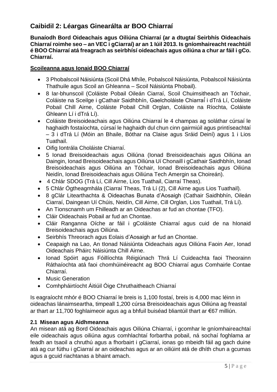## **Caibidil 2: Léargas Ginearálta ar BOO Chiarraí**

**Bunaíodh Bord Oideachais agus Oiliúna Chiarraí (ar a dtugtaí Seirbhís Oideachais Chiarraí roimhe seo – an VEC i gCiarraí) ar an 1 Iúil 2013. Is gníomhaireacht reachtúil é BOO Chiarraí atá freagrach as seirbhísí oideachais agus oiliúna a chur ar fáil i gCo. Chiarraí.**

#### **Scoileanna agus Ionaid BOO Chiarraí**

- 3 Phobalscoil Náisiúnta (Scoil Dhá Mhíle, Pobalscoil Náisiúnta, Pobalscoil Náisiúnta Thathuile agus Scoil an Ghleanna – Scoil Náisiúnta Phobail).
- 8 Iar-bhunscoil (Coláiste Pobail Oileán Ciarraí, Scoil Chuimsitheach an Tóchair, Coláiste na Sceilge i gCathair Saidhbhín, Gaelcholáiste Chiarraí́ i dTrá Lí, Coláiste Pobail Chill Airne, Coláiste Pobail Chill Orglan, Coláiste na Ríochta, Coláiste Ghleann Lí i dTrá Lí).
- Coláiste Breisoideachais agus Oiliúna Chiarraí le 4 champas ag soláthar cúrsaí le haghaidh fostaíochta, cúrsaí le haghaidh dul chun cinn gairmiúil agus printíseachtaí – 3 i dTrá Lí (Móin an Bhaile, Bóthar na Claise agus Sráid Deiní) agus 1 i Lios Tuathail.
- Oifig Iontrála Choláiste Chiarraí.
- 5 Ionad Breisoideachais agus Oiliúna (Ionad Breisoideachais agus Oiliúna an Daingin, Ionad Breisoideachais agus Oiliúna Uí Chonaill i gCathair Saidhbhín, Ionad Breisoideachais agus Oiliúna an Tóchair, Ionad Breisoideachais agus Oiliúna Neidín, Ionad Breisoideachais agus Oiliúna Tech Amergin sa Choireán).
- 4 Chlár SDOG (Trá Lí, Cill Airne, Lios Tuathail, Ciarraí Theas).
- 5 Chlár Ógtheagmhála (Ciarraí Theas, Trá Lí (2), Cill Airne agus Lios Tuathail).
- 8 gClár Litearthachta & Oideachas Bunata d'Aosaigh (Cathair Saidhbhín, Oileán Ciarraí, Daingean Uí Chúis, Neidín, Cill Airne, Cill Orglan, Lios Tuathail, Trá Lí).
- An Tionscnamh um Fhilleadh ar an Oideachas ar fud an chontae (TFO).
- Cláir Oideachais Pobail ar fud an Chontae.
- Cláir Ranganna Oíche ar fáil i gColáiste Chiarraí agus cuid de na hIonaid Breisoideachais agus Oiliúna.
- Seirbhís Threorach agus Eolais d'Aosaigh ar fud an Chontae.
- Ceapaigh na Lao, An tIonad Náisiúnta Oideachais agus Oiliúna Faoin Aer, Ionad Oideachais Pháirc Náisiúnta Chill Airne.
- Ionad Spóirt agus Fóillíochta Réigiúnach Thrá Lí Cuideachta faoi Theorainn Ráthaíochta atá faoi chomhúinéireacht ag BOO Chiarraí agus Comhairle Contae Chiarraí.
- Music Generation
- Comhpháirtíocht Áitiúil Óige Chruthaitheach Chiarraí

Is eagraíocht mhór é BOO Chiarraí le breis is 1,100 fostaí, breis is 4,000 mac léinn in oideachas lánaimseartha, timpeall 1,200 cúrsa Breisoideachais agus Oiliúna ag freastal ar thart ar 11,700 foghlaimeoir agus ag a bhfuil buiséad bliantúil thart ar €67 milliún.

#### **2.1 Misean agus Aidhmeanna**

An misean atá ag Bord Oideachais agus Oiliúna Chiarraí, i gcomhar le gníomhaireachtaí eile oideachais agus oiliúna agus comhlachtaí forbartha pobail, ná sochaí foghlama ar feadh an tsaoil a chruthú agus a fhorbairt i gCiarraí, ionas go mbeidh fáil ag gach duine atá ag cur fúthu i gCiarraí ar an oideachas agus ar an oiliúint atá de dhíth chun a gcumas agus a gcuid riachtanas a bhaint amach.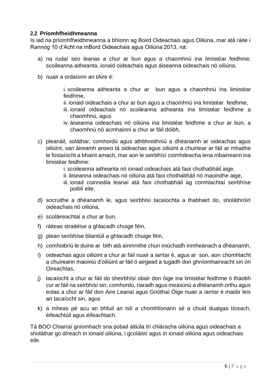#### **2.2 Príomhfheidhmeanna**

Is iad na príomhfheidhmeanna a bhíonn ag Boird Oideachais agus Oiliúna, mar atá ráite i Rannóg 10 d'Acht na mBord Oideachais agus Oiliúna 2013, ná:

- a) na rudaí seo leanas a chur ar bun agus a chaomhnú ina limistéar feidhme: scoileanna aitheanta, ionaid oideachais agus áiseanna oideachais nó oiliúna,
- b) nuair a ordaíonn an tAire é:

i. scoileanna aitheanta a chur ar bun agus a chaomhnú ina limistéar feidhme,

- ii. ionaid oideachais a chur ar bun agus a chaomhnú ina limistéar feidhme,
- iii. ionaid oideachais nó scoileanna aitheanta ina limistéar feidhme a chaomhnú, agus
- iv. áiseanna oideachais nó oiliúna ina limistéar feidhme a chur ar bun, a chaomhnú nó acmhainní a chur ar fáil dóibh,
- c) pleanáil, soláthar, comhordú agus athbhreithniú a dhéanamh ar oideachas agus oiliúint, san áireamh anseo tá oideachas agus oiliúint a chuirtear ar fáil ar mhaithe le fostaíocht a bhaint amach, mar aon le seirbhísí coimhdeacha lena mbaineann ina limistéar feidhme:
	- i. scoileanna aitheanta nó ionaid oideachais atá faoi chothabháil aige,
	- ii. áiseanna oideachais nó oiliúna atá faoi chothabháil nó maoinithe aige,
	- iii. ionad coinneála leanaí atá faoi chothabháil ag comhlachtaí seirbhíse poiblí eile,
- d) socruithe a dhéanamh le, agus seirbhísí tacaíochta a thabhairt do, sholáthróirí oideachais nó oiliúna,
- e) scoláireachtaí a chur ar bun,
- f) ráiteas straitéise a ghlacadh chuige féin,
- g) plean seirbhíse bliantúil a ghlacadh chuige féin,
- h) comhoibriú le duine ar bith atá ainmnithe chun iniúchadh inmheánach a dhéanamh,
- i) oideachas agus oiliúint a chur ar fáil nuair a iarrtar é, agus ar son, aon chomhlacht a chuireann maoiniú d'oiliúint ar fáil ó airgead a tugadh don ghníomhaireacht sin ón Oireachtas,
- j) tacaíocht a chur ar fáil do sheirbhísí obair don óige ina limistéar feidhme ó thaobh cur ar fáil na seirbhísí sin, comhordú, riaradh agus measúnú a dhéanamh orthu agus eolas a chur ar fáil don Aire Leanaí agus Gnóthaí Óige nuair a iarrtar é maidir leis an tacaíocht sin, agus
- k) a mheas pé acu an bhfuil an tslí a chomhlíonann sé a chuid dualgas tíosach, éifeachtúil agus éifeachtach.

Tá BOO Chiarraí gníomhach sna pobail áitiúla trí chláracha oiliúna agus oideachais a sholáthar go díreach in ionaid oiliúna, i gcoláistí agus in ionaid oiliúna agus oideachais eile.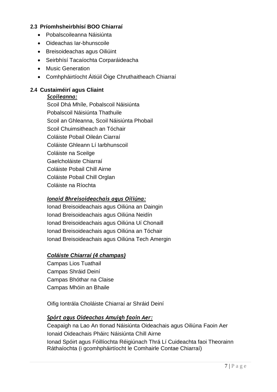#### **2.3 Príomhsheirbhísí BOO Chiarraí**

- Pobalscoileanna Náisiúnta
- Oideachas Iar-bhunscoile
- Breisoideachas agus Oiliúint
- Seirbhísí Tacaíochta Corparáideacha
- Music Generation
- Comhpháirtíocht Áitiúil Óige Chruthaitheach Chiarraí

#### **2.4 Custaiméirí agus Cliaint**

#### *Scoileanna:*

Scoil Dhá Mhíle, Pobalscoil Náisiúnta Pobalscoil Náisiúnta Thathuile Scoil an Ghleanna, Scoil Náisiúnta Phobail Scoil Chuimsitheach an Tóchair Coláiste Pobail Oileán Ciarraí Coláiste Ghleann Lí Iarbhunscoil Coláiste na Sceilge Gaelcholáiste Chiarraí Coláiste Pobail Chill Airne Coláiste Pobail Chill Orglan Coláiste na Ríochta

#### *Ionaid Bhreisoideachais agus Oiliúna:*

Ionad Breisoideachais agus Oiliúna an Daingin Ionad Breisoideachais agus Oiliúna Neidín Ionad Breisoideachais agus Oiliúna Uí Chonaill Ionad Breisoideachais agus Oiliúna an Tóchair Ionad Breisoideachais agus Oiliúna Tech Amergin

#### *Coláiste Chiarraí (4 champas)*

Campas Lios Tuathail Campas Shráid Deiní Campas Bhóthar na Claise Campas Mhóin an Bhaile

Oifig Iontrála Choláiste Chiarraí ar Shráid Deiní

#### *Spórt agus Oideachas Amuigh faoin Aer:*

Ceapaigh na Lao An tIonad Náisiúnta Oideachais agus Oiliúna Faoin Aer Ionaid Oideachais Pháirc Náisiúnta Chill Airne

Ionad Spóirt agus Fóillíochta Réigiúnach Thrá Lí Cuideachta faoi Theorainn Ráthaíochta (i gcomhpháirtíocht le Comhairle Contae Chiarraí)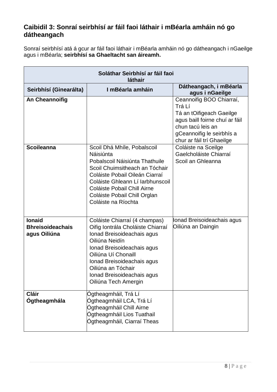## **Caibidil 3: Sonraí seirbhísí ar fáil faoi láthair i mBéarla amháin nó go dátheangach**

Sonraí seirbhísí atá á gcur ar fáil faoi láthair i mBéarla amháin nó go dátheangach i nGaeilge agus i mBéarla; **seirbhísí sa Ghaeltacht san áireamh.**

| Soláthar Seirbhísí ar fáil faoi<br>láthair               |                                                                                                                                                                                                                                                                                   |                                                                                                                                                                                 |  |  |
|----------------------------------------------------------|-----------------------------------------------------------------------------------------------------------------------------------------------------------------------------------------------------------------------------------------------------------------------------------|---------------------------------------------------------------------------------------------------------------------------------------------------------------------------------|--|--|
| Seirbhísí (Ginearálta)                                   | I mBéarla amháin                                                                                                                                                                                                                                                                  | Dátheangach, i mBéarla<br>agus i nGaeilge                                                                                                                                       |  |  |
| <b>An Cheannoifig</b>                                    |                                                                                                                                                                                                                                                                                   | Ceannoifig BOO Chiarraí,<br>Trá Lí<br>Tá an tOifigeach Gaeilge<br>agus baill foirne chuí ar fáil<br>chun tacú leis an<br>gCeannoifig le seirbhís a<br>chur ar fáil trí Ghaeilge |  |  |
| <b>Scoileanna</b>                                        | Scoil Dhá Mhíle, Pobalscoil<br>Náisiúnta<br>Pobalscoil Náisiúnta Thathuile<br>Scoil Chuimsitheach an Tóchair<br>Coláiste Pobail Oileán Ciarraí<br>Coláiste Ghleann Lí Iarbhunscoil<br>Coláiste Pobail Chill Airne<br>Coláiste Pobail Chill Orglan<br>Coláiste na Ríochta          | Coláiste na Sceilge<br>Gaelcholáiste Chiarraí<br>Scoil an Ghleanna                                                                                                              |  |  |
| <b>Ionaid</b><br><b>Bhreisoideachais</b><br>agus Oiliúna | Coláiste Chiarraí (4 champas)<br>Oifig Iontrála Choláiste Chiarraí<br>Ionad Breisoideachais agus<br>Oiliúna Neidín<br>Ionad Breisoideachais agus<br>Oiliúna Uí Chonaill<br>Ionad Breisoideachais agus<br>Oiliúna an Tóchair<br>Ionad Breisoideachais agus<br>Oiliúna Tech Amergin | Ionad Breisoideachais agus<br>Oiliúna an Daingin                                                                                                                                |  |  |
| <b>Cláir</b><br><b>Ogtheagmhála</b>                      | Ógtheagmháil, Trá Lí<br>Ógtheagmháil LCA, Trá Lí<br>Ógtheagmháil Chill Airne<br>Ógtheagmháil Lios Tuathail<br>Ógtheagmháil, Ciarraí Theas                                                                                                                                         |                                                                                                                                                                                 |  |  |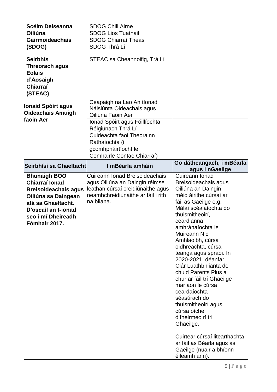| <b>Scéim Deiseanna</b><br>Oiliúna<br><b>Gairmoideachais</b><br>(SDOG)<br><b>Seirbhís</b><br><b>Threorach agus</b><br><b>Eolais</b><br>d'Aosaigh<br>Chiarraí<br>(STEAC)                 | <b>SDOG Chill Airne</b><br><b>SDOG Lios Tuathail</b><br><b>SDOG Chiarraí Theas</b><br><b>SDOG Thrá Lí</b><br>STEAC sa Cheannoifig, Trá Lí                                                                                              |                                                                                                                                                                                                                                                                                                                                                                                                                                                                                                                                                                                                                            |
|----------------------------------------------------------------------------------------------------------------------------------------------------------------------------------------|----------------------------------------------------------------------------------------------------------------------------------------------------------------------------------------------------------------------------------------|----------------------------------------------------------------------------------------------------------------------------------------------------------------------------------------------------------------------------------------------------------------------------------------------------------------------------------------------------------------------------------------------------------------------------------------------------------------------------------------------------------------------------------------------------------------------------------------------------------------------------|
| <b>Ionaid Spóirt agus</b><br><b>Oideachais Amuigh</b><br>faoin Aer                                                                                                                     | Ceapaigh na Lao An tionad<br>Náisiúnta Oideachais agus<br>Oiliúna Faoin Aer<br>Ionad Spóirt agus Fóillíochta<br>Réigiúnach Thrá Lí<br>Cuideachta faoi Theorainn<br>Ráthaíochta (i<br>gcomhpháirtíocht le<br>Comhairle Contae Chiarraí) |                                                                                                                                                                                                                                                                                                                                                                                                                                                                                                                                                                                                                            |
| Seirbhísí sa Ghaeltacht                                                                                                                                                                | I mBéarla amháin                                                                                                                                                                                                                       | Go dátheangach, i mBéarla<br>agus i nGaeilge                                                                                                                                                                                                                                                                                                                                                                                                                                                                                                                                                                               |
| <b>Bhunaigh BOO</b><br><b>Chiarraí Ionad</b><br><b>Breisoideachais agus</b><br>Oiliúna sa Daingean<br>atá sa Ghaeltacht.<br>D'oscail an t-ionad<br>seo i mí Dheireadh<br>Fómhair 2017. | Cuireann Ionad Breisoideachais<br>agus Oiliúna an Daingin réimse<br>leathan cúrsaí creidiúnaithe agus<br>heamhchreidiúnaithe ar fáil i rith<br>na bliana.                                                                              | Cuireann Ionad<br>Breisoideachais agus<br>Oiliúna an Daingin<br>méid áirithe cúrsaí ar<br>fáil as Gaeilge e.g.<br>Málaí scéalaíochta do<br>thuismitheoirí,<br>ceardlanna<br>amhránaíochta le<br>Muireann Nic<br>Amhlaoibh, cúrsa<br>oidhreachta, cúrsa<br>teanga agus spraoi. In<br>2020-2021, déanfar<br>Clár Luathbhlianta de<br>chuid Parents Plus a<br>chur ar fáil trí Ghaeilge<br>mar aon le cúrsa<br>ceardaíochta<br>séasúrach do<br>thuismitheoirí agus<br>cúrsa oíche<br>d'fheirmeoirí trí<br>Ghaeilge.<br>Cuirtear cúrsaí litearthachta<br>ar fáil as Béarla agus as<br>Gaeilge (nuair a bhíonn<br>éileamh ann). |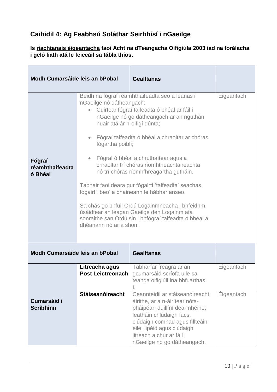# **Caibidil 4: Ag Feabhsú Soláthar Seirbhísí i nGaeilge**

### **Is riachtanais éigeantacha faoi Acht na dTeangacha Oifigiúla 2003 iad na forálacha i gcló liath atá le feiceáil sa tábla thíos.**

| Modh Cumarsáide leis an bPobal         |                                                                                                                                               | <b>Gealltanas</b>                                                                                                                                                                                                                                                                                                                                                                                                                                                                                                                                                                              |                   |
|----------------------------------------|-----------------------------------------------------------------------------------------------------------------------------------------------|------------------------------------------------------------------------------------------------------------------------------------------------------------------------------------------------------------------------------------------------------------------------------------------------------------------------------------------------------------------------------------------------------------------------------------------------------------------------------------------------------------------------------------------------------------------------------------------------|-------------------|
| Fógraí<br>réamhthaifeadta<br>ó Bhéal   | nGaeilge nó dátheangach:<br>$\bullet$<br>nuair atá ár n-oifigí dúnta;<br>$\bullet$<br>fógartha poiblí;<br>$\bullet$<br>dhéanann nó ar a shon. | Beidh na fógraí réamhthaifeadta seo a leanas i<br>Cuirfear fógraí taifeadta ó bhéal ar fáil i<br>nGaeilge nó go dátheangach ar an nguthán<br>Fógraí taifeadta ó bhéal a chraoltar ar chóras<br>Fógraí ó bhéal a chruthaítear agus a<br>chraoltar trí chóras ríomhtheachtaireachta<br>nó trí chóras ríomhfhreagartha gutháin.<br>Tabhair faoi deara gur fógairtí 'taifeadta' seachas<br>fógairtí 'beo' a bhaineann le hábhar anseo.<br>Sa chás go bhfuil Ordú Logainmneacha i bhfeidhm,<br>úsáidfear an leagan Gaeilge den Logainm atá<br>sonraithe san Ordú sin i bhfógraí taifeadta ó bhéal a | <b>Éigeantach</b> |
| Modh Cumarsáide leis an bPobal         |                                                                                                                                               | <b>Gealltanas</b>                                                                                                                                                                                                                                                                                                                                                                                                                                                                                                                                                                              |                   |
|                                        | Litreacha agus<br>Post Leictreonach                                                                                                           | Tabharfar freagra ar an<br>gcumarsáid scríofa uile sa<br>teanga oifigiúil ina bhfuarthas<br>í.                                                                                                                                                                                                                                                                                                                                                                                                                                                                                                 | Eigeantach        |
| <b>Cumarsáid i</b><br><b>Scríbhinn</b> | <b>Stáiseanóireacht</b>                                                                                                                       | Ceannteidil ar stáiseanóireacht<br>áirithe, ar a n-áirítear nóta-<br>pháipéar, duillíní dea-mhéine;<br>leatháin chlúdaigh facs,<br>clúdaigh comhad agus fillteáin<br>eile, lipéid agus clúdaigh<br>litreach a chur ar fáil i<br>nGaeilge nó go dátheangach.                                                                                                                                                                                                                                                                                                                                    | <b>Éigeantach</b> |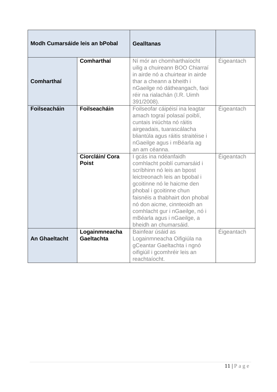| Modh Cumarsáide leis an bPobal |                                    | <b>Gealltanas</b>                                                                                                                                                                                                                                                                                                                        |                   |
|--------------------------------|------------------------------------|------------------------------------------------------------------------------------------------------------------------------------------------------------------------------------------------------------------------------------------------------------------------------------------------------------------------------------------|-------------------|
| Comharthaí                     | Comharthaí                         | Ní mór an chomharthaíocht<br>uilig a chuireann BOO Chiarraí<br>in airde nó a chuirtear in airde<br>thar a cheann a bheith i<br>nGaeilge nó dátheangach, faoi<br>réir na rialachán (I.R. Uimh<br>391/2008).                                                                                                                               | Éigeantach        |
| <b>Foilseacháin</b>            | <b>Foilseacháin</b>                | Foilseofar cáipéisí ina leagtar<br>amach tograí polasaí poiblí,<br>cuntais iniúchta nó ráitis<br>airgeadais, tuarascálacha<br>bliantúla agus ráitis straitéise i<br>nGaeilge agus i mBéarla ag<br>an am céanna.                                                                                                                          | Éigeantach        |
|                                | Ciorcláin/ Cora<br><b>Poist</b>    | I gcás ina ndéanfaidh<br>comhlacht poiblí cumarsáid i<br>scríbhinn nó leis an bpost<br>leictreonach leis an bpobal i<br>gcoitinne nó le haicme den<br>phobal i gcoitinne chun<br>faisnéis a thabhairt don phobal<br>nó don aicme, cinnteoidh an<br>comhlacht gur i nGaeilge, nó i<br>mBéarla agus i nGaeilge, a<br>bheidh an chumarsáid. | <b>Éigeantach</b> |
| <b>An Ghaeltacht</b>           | Logainmneacha<br><b>Gaeltachta</b> | Bainfear úsáid as<br>Logainmneacha Oifigiúla na<br>gCeantar Gaeltachta i ngnó<br>oifigiúil i gcomhréir leis an<br>reachtaíocht.                                                                                                                                                                                                          | Eigeantach        |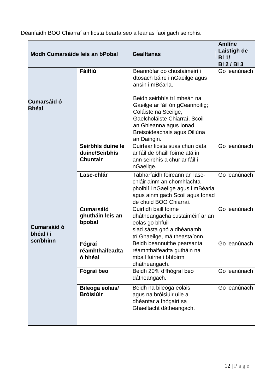Déanfaidh BOO Chiarraí an liosta bearta seo a leanas faoi gach seirbhís.

| Modh Cumarsáide leis an bPobal        |                                                        | <b>Gealltanas</b>                                                                                                                                                                                | <b>Amlíne</b><br><b>Laistigh de</b><br>BI <sub>1</sub><br><b>BI2/BI3</b> |
|---------------------------------------|--------------------------------------------------------|--------------------------------------------------------------------------------------------------------------------------------------------------------------------------------------------------|--------------------------------------------------------------------------|
|                                       | <b>Fáiltiú</b>                                         | Beannófar do chustaiméirí i<br>dtosach báire i nGaeilge agus<br>ansin i mBéarla.                                                                                                                 | Go leanúnach                                                             |
| <b>Cumarsáid ó</b><br><b>Bhéal</b>    |                                                        | Beidh seirbhís trí mheán na<br>Gaeilge ar fáil ón gCeannoifig;<br>Coláiste na Sceilge,<br>Gaelcholáiste Chiarraí, Scoil<br>an Ghleanna agus Ionad<br>Breisoideachais agus Oiliúna<br>an Daingin. |                                                                          |
| Cumarsáid ó<br>bhéal / i<br>scríbhinn | Seirbhís duine le<br>duine/Seirbhís<br><b>Chuntair</b> | Cuirfear liosta suas chun dáta<br>ar fáil de bhaill foirne atá in<br>ann seirbhís a chur ar fáil i<br>nGaeilge.                                                                                  | Go leanúnach                                                             |
|                                       | Lasc-chlár                                             | Tabharfaidh foireann an lasc-<br>chláir ainm an chomhlachta<br>phoiblí i nGaeilge agus i mBéarla<br>agus ainm gach Scoil agus Ionad<br>de chuid BOO Chiarraí.                                    | Go leanúnach                                                             |
|                                       | <b>Cumarsáid</b><br>ghutháin leis an<br>bpobal         | Cuirfidh baill foirne<br>dhátheangacha custaiméirí ar an<br>eolas go bhfuil<br>siad sásta gnó a dhéanamh<br>trí Ghaeilge, má theastaíonn.                                                        | Go leanúnach                                                             |
|                                       | Fógraí<br>réamhthaifeadta<br>ó bhéal                   | Beidh beannuithe pearsanta<br>réamhthaifeadta gutháin na<br>mball foirne i bhfoirm<br>dhátheangach.                                                                                              | Go leanúnach                                                             |
|                                       | Fógraí beo                                             | Beidh 20% d'fhógraí beo<br>dátheangach.                                                                                                                                                          | Go leanúnach                                                             |
|                                       | Bileoga eolais/<br><b>Bróisiúir</b>                    | Beidh na bileoga eolais<br>agus na bróisiúir uile a<br>dhéantar a fhógairt sa<br>Ghaeltacht dátheangach.                                                                                         | Go leanúnach                                                             |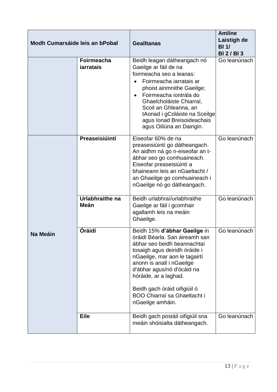| Modh Cumarsáide leis an bPobal |                                       | <b>Gealltanas</b>                                                                                                                                                                                                                                                                                                                              | <b>Amlíne</b><br>Laistigh de<br>BI <sub>1</sub><br><b>BI2/BI3</b> |
|--------------------------------|---------------------------------------|------------------------------------------------------------------------------------------------------------------------------------------------------------------------------------------------------------------------------------------------------------------------------------------------------------------------------------------------|-------------------------------------------------------------------|
|                                | <b>Foirmeacha</b><br><b>jarratais</b> | Beidh leagan dátheangach nó<br>Gaeilge ar fáil de na<br>foirmeacha seo a leanas:<br>Foirmeacha iarratais ar<br>phoist ainmnithe Gaeilge;<br>Foirmeacha iontrála do<br>$\bullet$<br>Ghaelcholáiste Chiarraí,<br>Scoil an Ghleanna, an<br>tAonad i gColáiste na Sceilge<br>agus Ionad Breisoideachais<br>agus Oiliúna an Daingin.                | Go leanúnach                                                      |
|                                | Preaseisiúintí                        | Eiseofar 60% de na<br>preaseisiúintí go dátheangach.<br>An aidhm ná go n-eiseofar an t-<br>ábhar seo go comhuaineach.<br>Eiseofar preaseisiúintí a<br>bhaineann leis an nGaeltacht /<br>an Ghaeilge go comhuaineach i<br>nGaeilge nó go dátheangach.                                                                                           | Go leanúnach                                                      |
|                                | Urlabhraithe na<br>Meán               | Beidh urlabhraí/urlabhraithe<br>Gaeilge ar fáil i gcomhair<br>agallamh leis na meáin<br>Ghaeilge.                                                                                                                                                                                                                                              | Go leanúnach                                                      |
| Na Meáin                       | Óráidí                                | Beidh 15% d'ábhar Gaeilge in<br>óráidí Béarla. San áireamh san<br>ábhar seo beidh beannachtaí<br>tosaigh agus deiridh óráide i<br>nGaeilge, mar aon le tagairtí<br>anonn is anall i nGaeilge<br>d'ábhar agus/nó d'ócáid na<br>hóráide, ar a laghad.<br>Beidh gach óráid oifigiúil ó<br><b>BOO Chiarraí sa Ghaeltacht i</b><br>nGaeilge amháin. | Go leanúnach                                                      |
|                                | <b>Eile</b>                           | Beidh gach postáil oifigiúil sna<br>meáin shóisialta dátheangach.                                                                                                                                                                                                                                                                              | Go leanúnach                                                      |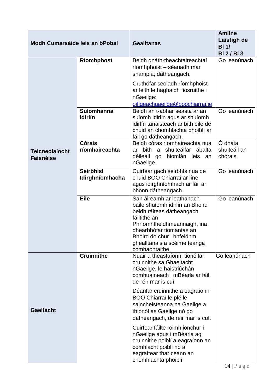| Modh Cumarsáide leis an bPobal            |                              | <b>Gealltanas</b>                                                                                                                                                                                                                                   | <b>Amlíne</b><br>Laistigh de<br>BI <sub>1</sub><br><b>BI2/BI3</b> |
|-------------------------------------------|------------------------------|-----------------------------------------------------------------------------------------------------------------------------------------------------------------------------------------------------------------------------------------------------|-------------------------------------------------------------------|
|                                           | Ríomhphost                   | Beidh gnáth-theachtaireachtaí<br>ríomhphoist - séanadh mar<br>shampla, dátheangach.                                                                                                                                                                 | Go leanúnach                                                      |
|                                           |                              | Cruthófar seoladh ríomhphoist<br>ar leith le haghaidh fiosruithe i<br>nGaeilge:<br>oifigeachgaeilge@boochiarrai.ie                                                                                                                                  |                                                                   |
|                                           | Suíomhanna<br>idirlín        | Beidh an t-ábhar seasta ar an<br>suíomh idirlín agus ar shuíomh<br>idirlín tánaisteach ar bith eile de<br>chuid an chomhlachta phoiblí ar<br>fáil go dátheangach.                                                                                   | Go leanúnach                                                      |
| <b>Teicneolaíocht</b><br><b>Faisnéise</b> | Córais<br>ríomhaireachta     | Beidh córas ríomhaireachta nua<br>bith a shuiteálfar<br>ábalta<br>ar<br>déileáil go hiomlán leis an<br>nGaeilge.                                                                                                                                    | Ó dháta<br>shuiteáil an<br>chórais                                |
|                                           | Seirbhísí<br>Idirghníomhacha | Cuirfear gach seirbhís nua de<br>chuid BOO Chiarraí ar líne<br>agus idirghníomhach ar fáil ar<br>bhonn dátheangach.                                                                                                                                 | Go leanúnach                                                      |
|                                           | <b>Eile</b>                  | San áireamh ar leathanach<br>baile shuíomh idirlín an Bhoird<br>beidh ráiteas dátheangach<br>fáiltithe an<br>Phríomhfheidhmeannaigh, ina<br>dhearbhófar tiomantas an<br>Bhoird do chur i bhfeidhm<br>ghealltanais a scéime teanga<br>comhaontaithe. | Go leanúnach                                                      |
|                                           | <b>Cruinnithe</b>            | Nuair a theastaíonn, tionólfar<br>cruinnithe sa Ghaeltacht i<br>nGaeilge, le haistriúchán<br>comhuaineach i mBéarla ar fáil,<br>de réir mar is cuí.                                                                                                 | Go leanúnach                                                      |
| <b>Gaeltacht</b>                          |                              | Déanfar cruinnithe a eagraíonn<br>BOO Chiarraí le plé le<br>saincheisteanna na Gaeilge a<br>thionól as Gaeilge nó go<br>dátheangach, de réir mar is cuí.                                                                                            |                                                                   |
|                                           |                              | Cuirfear fáilte roimh ionchur i<br>nGaeilge agus i mBéarla ag<br>cruinnithe poiblí a eagraíonn an<br>comhlacht poiblí nó a<br>eagraítear thar ceann an<br>chomhlachta phoiblí.                                                                      |                                                                   |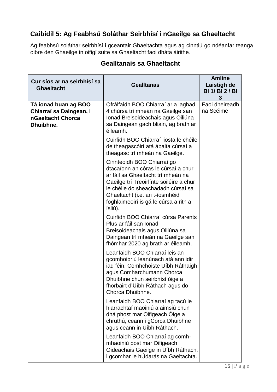# **Caibidil 5: Ag Feabhsú Soláthar Seirbhísí i nGaeilge sa Ghaeltacht**

Ag feabhsú soláthar seirbhísí i gceantair Ghaeltachta agus ag cinntiú go ndéanfar teanga oibre den Ghaeilge in oifigí suite sa Ghaeltacht faoi dháta áirithe.

| Cur síos ar na seirbhísí sa<br><b>Ghaeltacht</b>                                  | <b>Gealltanas</b>                                                                                                                                                                                                                                                              | <b>Amlíne</b><br>Laistigh de<br><b>BI 1/ BI 2/ BI</b><br>3 |
|-----------------------------------------------------------------------------------|--------------------------------------------------------------------------------------------------------------------------------------------------------------------------------------------------------------------------------------------------------------------------------|------------------------------------------------------------|
| Tá ionad buan ag BOO<br>Chiarraí sa Daingean, i<br>nGaeltacht Chorca<br>Dhuibhne. | Ofrálfaidh BOO Chiarraí ar a laghad<br>4 chúrsa trí mheán na Gaeilge san<br>Ionad Breisoideachais agus Oiliúna<br>sa Daingean gach bliain, ag brath ar<br>éileamh.                                                                                                             | Faoi dheireadh<br>na Scéime                                |
|                                                                                   | Cuirfidh BOO Chiarraí liosta le chéile<br>de theagascóirí atá ábalta cúrsaí a<br>theagasc trí mheán na Gaeilge.                                                                                                                                                                |                                                            |
|                                                                                   | Cinnteoidh BOO Chiarraí go<br>dtacaíonn an córas le cúrsaí a chur<br>ar fáil sa Ghaeltacht trí mheán na<br>Gaeilge trí Treoirlínte soiléire a chur<br>le chéile do sheachadadh cúrsaí sa<br>Ghaeltacht (i.e. an t-íosmhéid<br>foghlaimeoirí is gá le cúrsa a rith a<br>ísliú). |                                                            |
|                                                                                   | Cuirfidh BOO Chiarraí cúrsa Parents<br>Plus ar fáil san Ionad<br>Breisoideachais agus Oiliúna sa<br>Daingean trí mheán na Gaeilge san<br>fhómhar 2020 ag brath ar éileamh.                                                                                                     |                                                            |
|                                                                                   | Leanfaidh BOO Chiarraí leis an<br>gcomhoibriú leanúnach atá ann idir<br>iad féin, Comhchoiste Uíbh Ráthaigh<br>agus Comharchumann Chorca<br>Dhuibhne chun seirbhísí óige a<br>fhorbairt d'Uíbh Ráthach agus do<br>Chorca Dhuibhne.                                             |                                                            |
|                                                                                   | Leanfaidh BOO Chiarraí ag tacú le<br>hiarrachtaí maoiniú a aimsiú chun<br>dhá phost mar Oifigeach Óige a<br>chruthú, ceann i gCorca Dhuibhne<br>agus ceann in Uíbh Ráthach.                                                                                                    |                                                            |
|                                                                                   | Leanfaidh BOO Chiarraí ag comh-<br>mhaoiniú post mar Oifigeach<br>Oideachais Gaeilge in Uíbh Ráthach,<br>i gcomhar le hÚdarás na Gaeltachta.                                                                                                                                   |                                                            |

## **Gealltanais sa Ghaeltacht**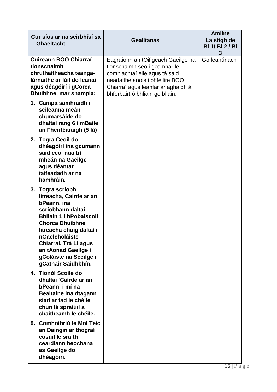| Cur síos ar na seirbhísí sa<br><b>Ghaeltacht</b>                                                                                                                                                                                                                                           | <b>Gealltanas</b>                                                                                                                                                                                               | <b>Amlíne</b><br>Laistigh de<br><b>BI 1/ BI 2/ BI</b><br>3 |
|--------------------------------------------------------------------------------------------------------------------------------------------------------------------------------------------------------------------------------------------------------------------------------------------|-----------------------------------------------------------------------------------------------------------------------------------------------------------------------------------------------------------------|------------------------------------------------------------|
| Cuireann BOO Chiarraí<br>tionscnaimh<br>chruthaitheacha teanga-<br>lárnaithe ar fáil do leanaí<br>agus déagóirí i gCorca<br>Dhuibhne, mar shampla:                                                                                                                                         | Eagraíonn an tOifigeach Gaeilge na<br>tionscnaimh seo i gcomhar le<br>comhlachtaí eile agus tá said<br>neadaithe anois i bhféilire BOO<br>Chiarraí agus leanfar ar aghaidh á<br>bhforbairt ó bhliain go bliain. | Go leanúnach                                               |
| 1. Campa samhraidh i<br>scileanna meán<br>chumarsáide do<br>dhaltaí rang 6 i mBaile<br>an Fheirtéaraigh (5 lá)                                                                                                                                                                             |                                                                                                                                                                                                                 |                                                            |
| 2. Togra Ceoil do<br>dhéagóirí ina gcumann<br>said ceol nua trí<br>mheán na Gaeilge<br>agus déantar<br>taifeadadh ar na<br>hamhráin.                                                                                                                                                       |                                                                                                                                                                                                                 |                                                            |
| 3. Togra scríobh<br>litreacha, Cairde ar an<br>bPeann, ina<br>scríobhann daltaí<br><b>Bhliain 1 i bPobalscoil</b><br><b>Chorca Dhuibhne</b><br>litreacha chuig daltaí i<br>nGaelcholáiste<br>Chiarraí, Trá Lí agus<br>an tAonad Gaeilge i<br>gColáiste na Sceilge i<br>gCathair Saidhbhín. |                                                                                                                                                                                                                 |                                                            |
| 4. Tionól Scoile do<br>dhaltaí 'Cairde ar an<br>bPeann' i mí na<br>Bealtaine ina dtagann<br>siad ar fad le chéile<br>chun lá spraíúil a<br>chaitheamh le chéile.                                                                                                                           |                                                                                                                                                                                                                 |                                                            |
| 5. Comhoibriú le Mol Teic<br>an Daingin ar thograí<br>cosúil le sraith<br>ceardlann beochana<br>as Gaeilge do<br>dhéagóirí.                                                                                                                                                                |                                                                                                                                                                                                                 |                                                            |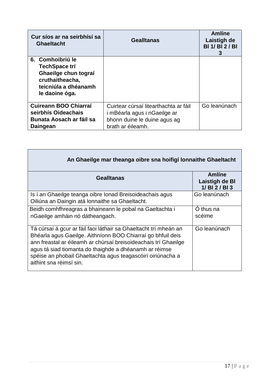| Cur síos ar na seirbhísí sa<br><b>Ghaeltacht</b>                                                                       | <b>Gealltanas</b>                                                     | Amlíne<br>Laistigh de<br><b>BI 1/ BI 2/ BI</b><br>3 |
|------------------------------------------------------------------------------------------------------------------------|-----------------------------------------------------------------------|-----------------------------------------------------|
| 6. Comhoibriú le<br>TechSpace trí<br>Ghaeilge chun tograí<br>cruthaitheacha,<br>teicniúla a dhéanamh<br>le daoine óga. |                                                                       |                                                     |
| Cuireann BOO Chiarraí<br>seirbhís Oideachais                                                                           | Cuirtear cúrsaí litearthachta ar fáil<br>i mBéarla agus i nGaeilge ar | Go leanúnach                                        |
| <b>Bunata Aosach ar fáil sa</b><br>Daingean                                                                            | bhonn duine le duine agus ag<br>brath ar éileamh.                     |                                                     |

| An Ghaeilge mar theanga oibre sna hoifigí lonnaithe Ghaeltacht                                                                                                                                                                                                                                                                                         |                                                   |
|--------------------------------------------------------------------------------------------------------------------------------------------------------------------------------------------------------------------------------------------------------------------------------------------------------------------------------------------------------|---------------------------------------------------|
| <b>Gealltanas</b>                                                                                                                                                                                                                                                                                                                                      | Amlíne<br><b>Laistigh de Bl</b><br>1/ BI 2 / BI 3 |
| Is í an Ghaeilge teanga oibre Ionad Breisoideachais agus<br>Oiliúna an Daingin atá lonnaithe sa Ghaeltacht.                                                                                                                                                                                                                                            | Go leanúnach                                      |
| Beidh comhfhreagras a bhaineann le pobal na Gaeltachta i<br>nGaeilge amháin nó dátheangach.                                                                                                                                                                                                                                                            | O thus na<br>scéime                               |
| Tá cúrsaí á gcur ar fáil faoi láthair sa Ghaeltacht trí mheán an<br>Bhéarla agus Gaeilge. Aithníonn BOO Chiarraí go bhfuil deis<br>ann freastal ar éileamh ar chúrsaí breisoideachais trí Ghaeilge<br>agus tá siad tiomanta do thaighde a dhéanamh ar réimse<br>spéise an phobail Ghaeltachta agus teagascóirí oiriúnacha a<br>aithint sna réimsí sin. | Go leanúnach                                      |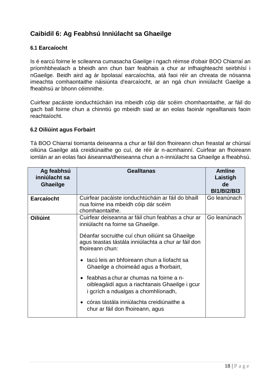## **Caibidil 6: Ag Feabhsú Inniúlacht sa Ghaeilge**

#### **6.1 Earcaíocht**

Is é earcú foirne le scileanna cumasacha Gaeilge i ngach réimse d'obair BOO Chiarraí an príomhbhealach a bheidh ann chun barr feabhais a chur ar infhaighteacht seirbhísí i nGaeilge. Beidh aird ag ár bpolasaí earcaíochta, atá faoi réir an chreata de nósanna imeachta comhaontaithe náisiúnta d'earcaíocht, ar an ngá chun inniúlacht Gaeilge a fheabhsú ar bhonn céimnithe.

Cuirfear pacáiste ionduchtúcháin ina mbeidh cóip dár scéim chomhaontaithe, ar fáil do gach ball foirne chun a chinntiú go mbeidh siad ar an eolas faoinár ngealltanais faoin reachtaíocht.

#### **6.2 Oiliúint agus Forbairt**

Tá BOO Chiarraí tiomanta deiseanna a chur ar fáil don fhoireann chun freastal ar chúrsaí oiliúna Gaeilge atá creidiúnaithe go cuí, de réir ár n-acmhainní. Cuirfear an fhoireann iomlán ar an eolas faoi áiseanna/dheiseanna chun a n-inniúlacht sa Ghaeilge a fheabhsú.

| Ag feabhsú<br>inniúlacht sa<br><b>Ghaeilge</b> | <b>Gealltanas</b>                                                                                                                             | <b>Amlíne</b><br>Laistigh<br>de<br><b>BI1/BI2/BI3</b> |
|------------------------------------------------|-----------------------------------------------------------------------------------------------------------------------------------------------|-------------------------------------------------------|
| <b>Earcaíocht</b>                              | Cuirfear pacáiste ionduchtúcháin ar fáil do bhaill<br>nua foirne ina mbeidh cóip dár scéim<br>chomhaontaithe.                                 | Go leanúnach                                          |
| <b>Oiliúint</b>                                | Cuirfear deiseanna ar fáil chun feabhas a chur ar<br>inniúlacht na foirne sa Ghaeilge.                                                        | Go leanúnach                                          |
|                                                | Déanfar socruithe cuí chun oiliúint sa Ghaeilge<br>agus teastas tástála inniúlachta a chur ar fáil don<br>fhoireann chun:                     |                                                       |
|                                                | tacú leis an bhfoireann chun a líofacht sa<br>$\bullet$<br>Ghaeilge a choimeád agus a fhorbairt,                                              |                                                       |
|                                                | feabhas a chur ar chumas na foirne a n-<br>$\bullet$<br>oibleagáidí agus a riachtanais Ghaeilge i gcur<br>i gcrích a ndualgas a chomhlíonadh, |                                                       |
|                                                | • córas tástála inniúlachta creidiúnaithe a<br>chur ar fáil don fhoireann, agus                                                               |                                                       |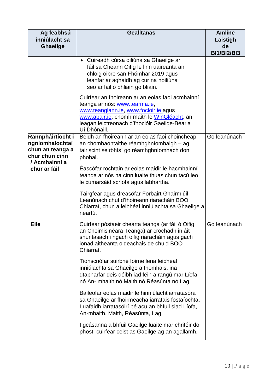| Ag feabhsú<br>inniúlacht sa<br><b>Ghaeilge</b>                                                              | <b>Gealltanas</b>                                                                                                                                                                                                                          |                          |  |  |
|-------------------------------------------------------------------------------------------------------------|--------------------------------------------------------------------------------------------------------------------------------------------------------------------------------------------------------------------------------------------|--------------------------|--|--|
|                                                                                                             |                                                                                                                                                                                                                                            | de<br><b>BI1/BI2/BI3</b> |  |  |
|                                                                                                             | • Cuireadh cúrsa oiliúna sa Ghaeilge ar<br>fáil sa Cheann Oifig le linn uaireanta an<br>chloig oibre san Fhómhar 2019 agus<br>leanfar ar aghaidh ag cur na hoiliúna<br>seo ar fáil ó bhliain go bliain.                                    |                          |  |  |
|                                                                                                             | Cuirfear an fhoireann ar an eolas faoi acmhainní<br>teanga ar nós: www.tearma.ie,<br>www.teanglann.ie, www.focloir.ie agus<br>www.abair.ie, chomh maith le WinGléacht, an<br>leagan leictreonach d'fhoclóir Gaeilge-Béarla<br>Uí Dhónaill. |                          |  |  |
| Rannpháirtíocht i<br>ngníomhaíochtaí<br>chun an teanga a<br>chur chun cinn<br>/ Acmhainní a<br>chur ar fáil | Beidh an fhoireann ar an eolas faoi choincheap<br>an chomhaontaithe réamhghníomhaigh – ag<br>tairiscint seirbhísí go réamhghníomhach don<br>phobal.                                                                                        | Go leanúnach             |  |  |
|                                                                                                             | Éascófar rochtain ar eolas maidir le hacmhainní<br>teanga ar nós na cinn luaite thuas chun tacú leo<br>le cumarsáid scríofa agus labhartha.                                                                                                |                          |  |  |
|                                                                                                             | Tairgfear agus dreasófar Forbairt Ghairmiúil<br>Leanúnach chuí d'fhoireann riaracháin BOO<br>Chiarraí, chun a leibhéal inniúlachta sa Ghaeilge a<br>neartú.                                                                                |                          |  |  |
| <b>Eile</b>                                                                                                 | Cuirfear póstaeir chearta teanga (ar fáil ó Oifig<br>an Choimisinéara Teanga) ar crochadh in áit<br>shuntasach i ngach oifig riaracháin agus gach<br>ionad aitheanta oideachais de chuid BOO<br>Chiarraí.                                  | Go leanúnach             |  |  |
|                                                                                                             | Tionscnófar suirbhé foirne lena leibhéal<br>inniúlachta sa Ghaeilge a thomhais, ina<br>dtabharfar deis dóibh iad féin a rangú mar Líofa<br>nó An- mhaith nó Maith nó Réasúnta nó Lag.                                                      |                          |  |  |
|                                                                                                             | Baileofar eolas maidir le hinniúlacht iarratasóra<br>sa Ghaeilge ar fhoirmeacha iarratais fostaíochta.<br>Luafaidh iarratasóirí pé acu an bhfuil siad Líofa,<br>An-mhaith, Maith, Réasúnta, Lag.                                           |                          |  |  |
|                                                                                                             | I gcásanna a bhfuil Gaeilge luaite mar chritéir do<br>phost, cuirfear ceist as Gaeilge ag an agallamh.                                                                                                                                     |                          |  |  |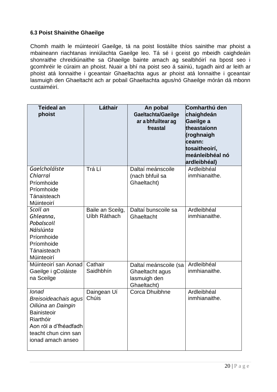#### **6.3 Poist Shainithe Ghaeilge**

Chomh maith le múinteoirí Gaeilge, tá na poist liostáilte thíos sainithe mar phoist a mbaineann riachtanas inniúlachta Gaeilge leo. Tá sé i gceist go mbeidh caighdeáin shonraithe chreidiúnaithe sa Ghaeilge bainte amach ag sealbhóirí na bpost seo i gcomhréir le cúraim an phoist. Nuair a bhí na poist seo á sainiú, tugadh aird ar leith ar phoist atá lonnaithe i gceantair Ghaeltachta agus ar phoist atá lonnaithe i gceantair lasmuigh den Ghaeltacht ach ar pobail Ghaeltachta agus/nó Ghaeilge mórán dá mbonn custaiméirí.

| <b>Teideal an</b><br>phoist                                                                                                                           | Láthair                          | An pobal<br>Gaeltachta/Gaeilge<br>ar a bhfuiltear ag<br>freastal        | Comharthú den<br>chaighdeán<br>Gaeilge a<br>theastaíonn<br>(roghnaigh<br>ceann:<br>tosaitheoirí,<br>meánleibhéal nó<br>ardleibhéal) |
|-------------------------------------------------------------------------------------------------------------------------------------------------------|----------------------------------|-------------------------------------------------------------------------|-------------------------------------------------------------------------------------------------------------------------------------|
| Gaelcholáiste<br>Chiarraí<br>Príomhoide<br>Príomhoide<br>Tánaisteach<br>Múinteoirí                                                                    | Trá Lí                           | Daltaí meánscoile<br>(nach bhfuil sa<br>Ghaeltacht)                     | Ardleibhéal<br>inmhianaithe.                                                                                                        |
| Scoil an<br>Ghleanna,<br>Pobalscoil<br>Náisiúnta<br>Príomhoide<br>Príomhoide<br>Tánaisteach<br>Múinteoirí                                             | Baile an Sceilg,<br>Uíbh Ráthach | Daltaí bunscoile sa<br>Ghaeltacht                                       | Ardleibhéal<br>inmhianaithe.                                                                                                        |
| Múinteoirí san Aonad<br>Gaeilge i gColáiste<br>na Sceilge                                                                                             | Cathair<br>Saidhbhín             | Daltaí meánscoile (sa<br>Ghaeltacht agus<br>lasmuigh den<br>Ghaeltacht) | Ardleibhéal<br>inmhianaithe.                                                                                                        |
| lonad<br>Breisoideachais agus<br>Oiliúna an Daingin<br>Bainisteoir<br>Riarthóir<br>Aon ról a d'fhéadfadh<br>teacht chun cinn san<br>jonad amach anseo | Daingean Uí<br>Chúis             | Corca Dhuibhne                                                          | Ardleibhéal<br>inmhianaithe.                                                                                                        |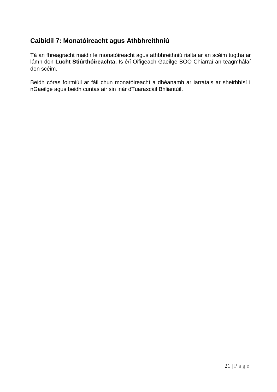# **Caibidil 7: Monatóireacht agus Athbhreithniú**

Tá an fhreagracht maidir le monatóireacht agus athbhreithniú rialta ar an scéim tugtha ar lámh don **Lucht Stiúrthóireachta.** Is é/í Oifigeach Gaeilge BOO Chiarraí an teagmhálaí don scéim.

Beidh córas foirmiúil ar fáil chun monatóireacht a dhéanamh ar iarratais ar sheirbhísí i nGaeilge agus beidh cuntas air sin inár dTuarascáil Bhliantúil.